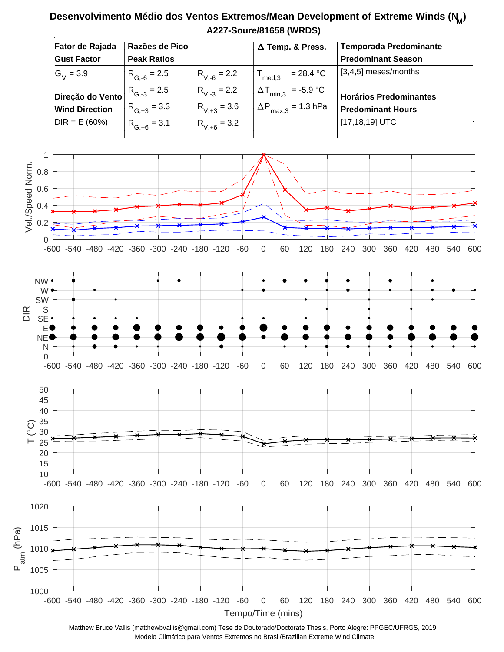## **A227-Soure/81658 (WRDS) Desenvolvimento Médio dos Ventos Extremos/Mean Development of Extreme Winds (N<sup>M</sup> )**



Matthew Bruce Vallis (matthewbvallis@gmail.com) Tese de Doutorado/Doctorate Thesis, Porto Alegre: PPGEC/UFRGS, 2019 Modelo Climático para Ventos Extremos no Brasil/Brazilian Extreme Wind Climate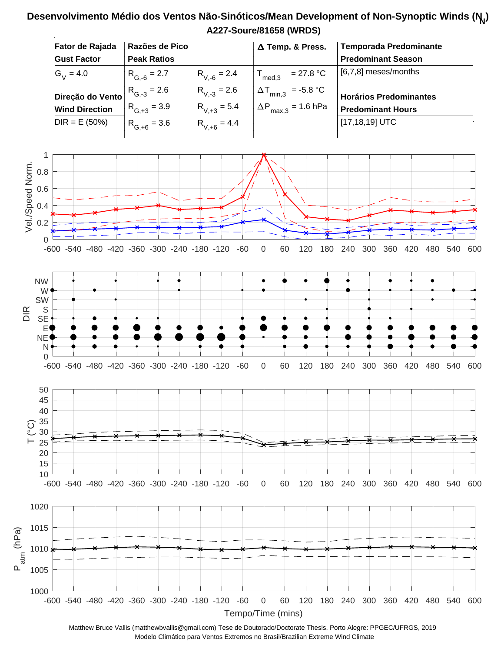## **A227-Soure/81658 (WRDS) Desenvolvimento Médio dos Ventos Não-Sinóticos/Mean Development of Non-Synoptic Winds (N<sup>N</sup> )**



Matthew Bruce Vallis (matthewbvallis@gmail.com) Tese de Doutorado/Doctorate Thesis, Porto Alegre: PPGEC/UFRGS, 2019 Modelo Climático para Ventos Extremos no Brasil/Brazilian Extreme Wind Climate